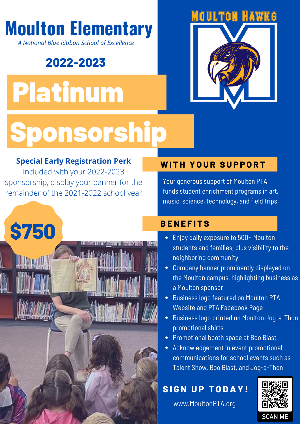## **Moulton Elementary**

*A National Blue Ribbon School of Excellence*

### **2022-2023**

# Platinum



## Sponsorship

#### **Special Early Registration Perk**

Included with your 2022-2023 sponsorship, display your banner for the remainder of the 2021-2022 school year

#### **WITH YOUR SUPPORT**

Your generous support of Moulton PTA funds student enrichment programs in art, music, science, technology, and field trips.

#### **B E N E F I T S**

- **\$750**
- Enjoy daily exposure to 500+ Moulton students and families, plus visibility to the neighboring community
- Company banner prominently displayed on the Moulton campus, highlighting business as a Moulton sponsor
- **•** Business logo featured on Moulton PTA Website and PTA Facebook Page
- **•** Business logo printed on Moulton Jog-a-Thon promotional shirts
- Promotional booth space at Boo Blast
- Acknowledgement in event promotional communications for school events such as Talent Show, Boo Blast, and Jog-a-Thon

#### **SIGN UP TODAY!**